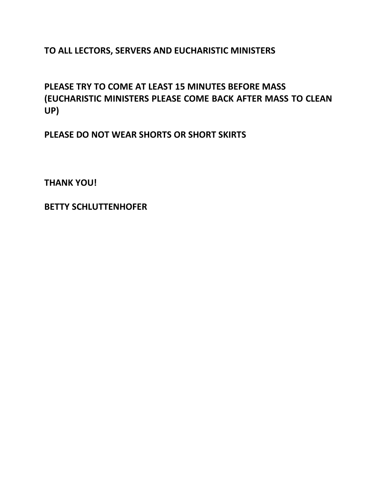**TO ALL LECTORS, SERVERS AND EUCHARISTIC MINISTERS**

**PLEASE TRY TO COME AT LEAST 15 MINUTES BEFORE MASS (EUCHARISTIC MINISTERS PLEASE COME BACK AFTER MASS TO CLEAN UP)**

**PLEASE DO NOT WEAR SHORTS OR SHORT SKIRTS**

**THANK YOU!**

**BETTY SCHLUTTENHOFER**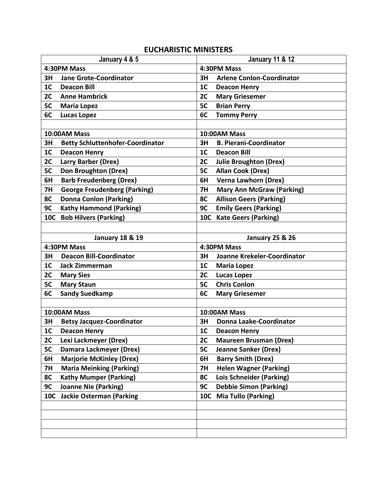## **EUCHARISTIC MINISTERS**

| January 4 & 5              |                                         | <b>January 11 &amp; 12</b> |                                  |  |
|----------------------------|-----------------------------------------|----------------------------|----------------------------------|--|
| 4:30PM Mass                |                                         | 4:30PM Mass                |                                  |  |
| 3H                         | <b>Jane Grote-Coordinator</b>           | 3H                         | <b>Arlene Conlon-Coordinator</b> |  |
| 1 <sub>C</sub>             | <b>Deacon Bill</b>                      | 1 <sub>C</sub>             | <b>Deacon Henry</b>              |  |
| 2C                         | <b>Anne Hambrick</b>                    | 2C                         | <b>Mary Griesemer</b>            |  |
| 5C                         | <b>Maria Lopez</b>                      | 5C                         | <b>Brian Perry</b>               |  |
| 6C                         | <b>Lucas Lopez</b>                      | 6C                         | <b>Tommy Perry</b>               |  |
|                            |                                         |                            |                                  |  |
|                            | 10:00AM Mass                            | 10:00AM Mass               |                                  |  |
| 3H                         | <b>Betty Schluttenhofer-Coordinator</b> | 3H                         | <b>B. Pierani-Coordinator</b>    |  |
| 1 <sub>C</sub>             | <b>Deacon Henry</b>                     | 1 <sub>C</sub>             | <b>Deacon Bill</b>               |  |
| 2C                         | <b>Larry Barber (Drex)</b>              | 2C                         | <b>Julie Broughton (Drex)</b>    |  |
| 5C                         | Don Broughton (Drex)                    | 5C                         | <b>Allan Cook (Drex)</b>         |  |
| 6H                         | <b>Barb Freudenberg (Drex)</b>          | 6H                         | <b>Verna Lawhorn (Drex)</b>      |  |
| 7H                         | <b>George Freudenberg (Parking)</b>     | <b>7H</b>                  | <b>Mary Ann McGraw (Parking)</b> |  |
| 8C                         | <b>Donna Conlon (Parking)</b>           | 8C                         | <b>Allison Geers (Parking)</b>   |  |
| 9C                         | <b>Kathy Hammond (Parking)</b>          | 9C                         | <b>Emily Geers (Parking)</b>     |  |
|                            | 10C Bob Hilvers (Parking)               |                            | 10C Kate Geers (Parking)         |  |
|                            |                                         |                            |                                  |  |
| <b>January 18 &amp; 19</b> |                                         |                            | <b>January 25 &amp; 26</b>       |  |
| 4:30PM Mass                |                                         |                            | 4:30PM Mass                      |  |
| 3H                         | <b>Deacon Bill-Coordinator</b>          | 3H                         | Joanne Krekeler-Coordinator      |  |
| 1 <sub>C</sub>             | <b>Jack Zimmerman</b>                   | 1 <sub>C</sub>             | <b>Maria Lopez</b>               |  |
| 2C                         | <b>Mary Sies</b>                        | 2C                         | <b>Lucas Lopez</b>               |  |
| 5C                         | <b>Mary Staun</b>                       | 5C                         | <b>Chris Conlon</b>              |  |
| 6C                         | <b>Sandy Suedkamp</b>                   | 6C                         | <b>Mary Griesemer</b>            |  |
|                            |                                         |                            |                                  |  |
|                            | 10:00AM Mass                            | 10:00AM Mass               |                                  |  |
| 3H                         | <b>Betsy Jacquez-Coordinator</b>        | 3H                         | Donna Laake-Coordinator          |  |
| 1C                         | <b>Deacon Henry</b>                     | 1 <sub>C</sub>             | <b>Deacon Henry</b>              |  |
| 2C                         | Lexi Lackmeyer (Drex)                   | 2C                         | <b>Maureen Brusman (Drex)</b>    |  |
| 5C                         | Damara Lackmeyer (Drex)                 | 5C                         | <b>Jeanne Sanker (Drex)</b>      |  |
| 6H                         | <b>Marjorie McKinley (Drex)</b>         | 6H                         | <b>Barry Smith (Drex)</b>        |  |
| <b>7H</b>                  | <b>Maria Meinking (Parking)</b>         | <b>7H</b>                  | <b>Helen Wagner (Parking)</b>    |  |
| 8C                         | <b>Kathy Mumper (Parking)</b>           | 8C                         | Lois Schneider (Parking)         |  |
| 9C                         | <b>Joanne Nie (Parking)</b>             | 9C                         | <b>Debbie Simon (Parking)</b>    |  |
| <b>10C</b>                 | <b>Jackie Osterman (Parking</b>         | <b>10C</b>                 | <b>Mia Tullo (Parking)</b>       |  |
|                            |                                         |                            |                                  |  |
|                            |                                         |                            |                                  |  |
|                            |                                         |                            |                                  |  |
|                            |                                         |                            |                                  |  |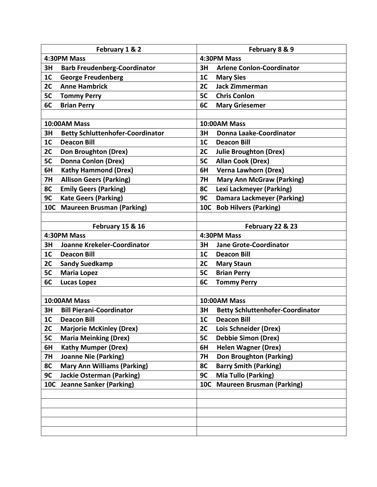| February 1 & 2                                |                                     | February 8 & 9                       |                                         |  |
|-----------------------------------------------|-------------------------------------|--------------------------------------|-----------------------------------------|--|
| 4:30PM Mass                                   |                                     | 4:30PM Mass                          |                                         |  |
| 3H                                            | <b>Barb Freudenberg-Coordinator</b> | 3H                                   | <b>Arlene Conlon-Coordinator</b>        |  |
| 1 <sub>C</sub>                                | <b>George Freudenberg</b>           | 1 <sub>C</sub>                       | <b>Mary Sies</b>                        |  |
| 2C                                            | <b>Anne Hambrick</b>                | 2C                                   | <b>Jack Zimmerman</b>                   |  |
| 5C                                            | <b>Tommy Perry</b>                  | 5C                                   | <b>Chris Conlon</b>                     |  |
| 6C                                            | <b>Brian Perry</b>                  | 6C                                   | <b>Mary Griesemer</b>                   |  |
|                                               |                                     |                                      |                                         |  |
|                                               | 10:00AM Mass                        |                                      | 10:00AM Mass                            |  |
| 3H<br><b>Betty Schluttenhofer-Coordinator</b> |                                     | 3H<br><b>Donna Laake-Coordinator</b> |                                         |  |
| 1 <sub>C</sub>                                | <b>Deacon Bill</b>                  | 1 <sub>C</sub>                       | <b>Deacon Bill</b>                      |  |
| 2C                                            | <b>Don Broughton (Drex)</b>         | 2C                                   | <b>Julie Broughton (Drex)</b>           |  |
| 5C                                            | <b>Donna Conlon (Drex)</b>          | 5C                                   | <b>Allan Cook (Drex)</b>                |  |
| 6H                                            | <b>Kathy Hammond (Drex)</b>         | 6H                                   | <b>Verna Lawhorn (Drex)</b>             |  |
| <b>7H</b>                                     | <b>Allison Geers (Parking)</b>      | <b>7H</b>                            | <b>Mary Ann McGraw (Parking)</b>        |  |
| 8C                                            | <b>Emily Geers (Parking)</b>        | 8C                                   | Lexi Lackmeyer (Parking)                |  |
| 9C                                            | <b>Kate Geers (Parking)</b>         | 9C                                   | <b>Damara Lackmeyer (Parking)</b>       |  |
| <b>10C</b>                                    | <b>Maureen Brusman (Parking)</b>    |                                      | 10C Bob Hilvers (Parking)               |  |
|                                               |                                     |                                      |                                         |  |
| February 15 & 16                              |                                     |                                      | February 22 & 23                        |  |
|                                               | 4:30PM Mass                         | 4:30PM Mass                          |                                         |  |
| 3H                                            | Joanne Krekeler-Coordinator         |                                      | <b>Jane Grote-Coordinator</b>           |  |
| 1 <sub>C</sub>                                | <b>Deacon Bill</b>                  | 1 <sub>C</sub>                       | <b>Deacon Bill</b>                      |  |
| 2C                                            | <b>Sandy Suedkamp</b>               | 2C                                   | <b>Mary Staun</b>                       |  |
| 5C                                            | <b>Maria Lopez</b>                  | 5C                                   | <b>Brian Perry</b>                      |  |
| 6C                                            | <b>Lucas Lopez</b>                  | 6C                                   | <b>Tommy Perry</b>                      |  |
|                                               |                                     |                                      |                                         |  |
|                                               | 10:00AM Mass                        |                                      | 10:00AM Mass                            |  |
| 3H                                            | <b>Bill Pierani-Coordinator</b>     | 3H                                   | <b>Betty Schluttenhofer-Coordinator</b> |  |
| 1C                                            | <b>Deacon Bill</b>                  | 1C                                   | <b>Deacon Bill</b>                      |  |
| 2C                                            | <b>Marjorie McKinley (Drex)</b>     | 2C                                   | Lois Schneider (Drex)                   |  |
| 5C                                            | <b>Maria Meinking (Drex)</b>        | 5C                                   | <b>Debbie Simon (Drex)</b>              |  |
| 6H                                            | <b>Kathy Mumper (Drex)</b>          | 6H                                   | <b>Helen Wagner (Drex)</b>              |  |
| <b>7H</b>                                     | <b>Joanne Nie (Parking)</b>         | <b>7H</b>                            | <b>Don Broughton (Parking)</b>          |  |
| 8C                                            | <b>Mary Ann Williams (Parking)</b>  | 8C                                   | <b>Barry Smith (Parking)</b>            |  |
| 9C                                            | <b>Jackie Osterman (Parking)</b>    | 9C                                   | <b>Mia Tullo (Parking)</b>              |  |
| 10C                                           | <b>Jeanne Sanker (Parking)</b>      | <b>10C</b>                           | <b>Maureen Brusman (Parking)</b>        |  |
|                                               |                                     |                                      |                                         |  |
|                                               |                                     |                                      |                                         |  |
|                                               |                                     |                                      |                                         |  |
|                                               |                                     |                                      |                                         |  |
|                                               |                                     |                                      |                                         |  |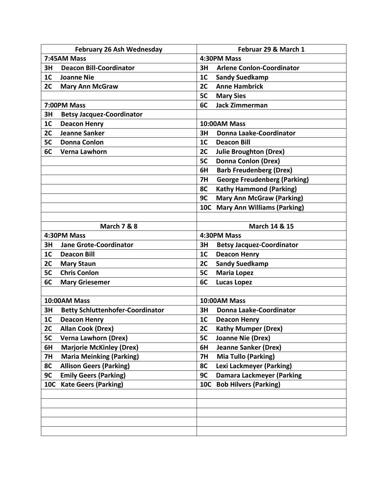| <b>February 26 Ash Wednesday</b> |                                         | Februar 29 & March 1 |                                     |  |
|----------------------------------|-----------------------------------------|----------------------|-------------------------------------|--|
| 7:45AM Mass                      |                                         | 4:30PM Mass          |                                     |  |
| 3H                               | <b>Deacon Bill-Coordinator</b>          | 3H                   | <b>Arlene Conlon-Coordinator</b>    |  |
| 1 <sub>C</sub>                   | <b>Joanne Nie</b>                       | 1 <sub>C</sub>       | <b>Sandy Suedkamp</b>               |  |
| 2C                               | <b>Mary Ann McGraw</b>                  | 2C                   | <b>Anne Hambrick</b>                |  |
|                                  |                                         | 5C                   | <b>Mary Sies</b>                    |  |
|                                  | 7:00PM Mass                             | 6C                   | <b>Jack Zimmerman</b>               |  |
| 3H                               | <b>Betsy Jacquez-Coordinator</b>        |                      |                                     |  |
| 1 <sub>C</sub>                   | <b>Deacon Henry</b>                     |                      | 10:00AM Mass                        |  |
| 2C                               | <b>Jeanne Sanker</b>                    | 3H                   | <b>Donna Laake-Coordinator</b>      |  |
| 5C                               | <b>Donna Conlon</b>                     | 1 <sub>C</sub>       | <b>Deacon Bill</b>                  |  |
| 6C                               | Verna Lawhorn                           | 2C                   | <b>Julie Broughton (Drex)</b>       |  |
|                                  |                                         | 5C                   | <b>Donna Conlon (Drex)</b>          |  |
|                                  |                                         | 6H                   | <b>Barb Freudenberg (Drex)</b>      |  |
|                                  |                                         | 7H                   | <b>George Freudenberg (Parking)</b> |  |
|                                  |                                         | 8C                   | <b>Kathy Hammond (Parking)</b>      |  |
|                                  |                                         | 9C                   | <b>Mary Ann McGraw (Parking)</b>    |  |
|                                  |                                         | <b>10C</b>           | <b>Mary Ann Williams (Parking)</b>  |  |
|                                  |                                         |                      |                                     |  |
|                                  | <b>March 7 &amp; 8</b>                  |                      | March 14 & 15                       |  |
|                                  | 4:30PM Mass                             | 4:30PM Mass          |                                     |  |
| 3H                               | <b>Jane Grote-Coordinator</b>           | 3H                   | <b>Betsy Jacquez-Coordinator</b>    |  |
| 1 <sub>C</sub>                   | <b>Deacon Bill</b>                      | 1 <sub>C</sub>       | <b>Deacon Henry</b>                 |  |
| 2C                               | <b>Mary Staun</b>                       | 2C                   | <b>Sandy Suedkamp</b>               |  |
| 5C                               | <b>Chris Conlon</b>                     | 5C                   | <b>Maria Lopez</b>                  |  |
| 6C                               | <b>Mary Griesemer</b>                   | 6C                   | <b>Lucas Lopez</b>                  |  |
|                                  |                                         |                      |                                     |  |
| 10:00AM Mass                     |                                         | 10:00AM Mass         |                                     |  |
| 3H                               | <b>Betty Schluttenhofer-Coordinator</b> | 3H                   | <b>Donna Laake-Coordinator</b>      |  |
| 1C                               | <b>Deacon Henry</b>                     | 1C                   | <b>Deacon Henry</b>                 |  |
| 2C                               | <b>Allan Cook (Drex)</b>                | 2C                   | <b>Kathy Mumper (Drex)</b>          |  |
| 5C                               | <b>Verna Lawhorn (Drex)</b>             | 5C                   | Joanne Nie (Drex)                   |  |
| 6H                               |                                         |                      |                                     |  |
|                                  | <b>Marjorie McKinley (Drex)</b>         | 6H                   | <b>Jeanne Sanker (Drex)</b>         |  |
| <b>7H</b>                        | <b>Maria Meinking (Parking)</b>         | <b>7H</b>            | <b>Mia Tullo (Parking)</b>          |  |
| 8C                               | <b>Allison Geers (Parking)</b>          | 8C                   | Lexi Lackmeyer (Parking)            |  |
| 9C                               | <b>Emily Geers (Parking)</b>            | 9C                   | <b>Damara Lackmeyer (Parking</b>    |  |
| 10C                              | <b>Kate Geers (Parking)</b>             | <b>10C</b>           | <b>Bob Hilvers (Parking)</b>        |  |
|                                  |                                         |                      |                                     |  |
|                                  |                                         |                      |                                     |  |
|                                  |                                         |                      |                                     |  |
|                                  |                                         |                      |                                     |  |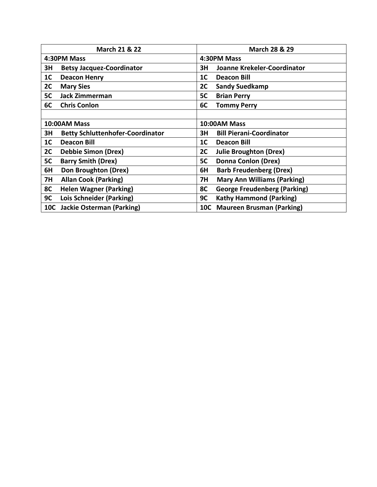| <b>March 21 &amp; 22</b> |                                         | March 28 & 29                             |  |  |
|--------------------------|-----------------------------------------|-------------------------------------------|--|--|
|                          | 4:30PM Mass                             | 4:30PM Mass                               |  |  |
| 3H                       | <b>Betsy Jacquez-Coordinator</b>        | Joanne Krekeler-Coordinator<br>3H         |  |  |
| 1 <sub>C</sub>           | <b>Deacon Henry</b>                     | 1 <sub>C</sub><br><b>Deacon Bill</b>      |  |  |
| 2C                       | <b>Mary Sies</b>                        | 2C<br><b>Sandy Suedkamp</b>               |  |  |
| 5C                       | <b>Jack Zimmerman</b>                   | 5C<br><b>Brian Perry</b>                  |  |  |
| 6C                       | <b>Chris Conlon</b>                     | 6C<br><b>Tommy Perry</b>                  |  |  |
|                          |                                         |                                           |  |  |
| 10:00AM Mass             |                                         | 10:00AM Mass                              |  |  |
| 3H                       | <b>Betty Schluttenhofer-Coordinator</b> | <b>Bill Pierani-Coordinator</b><br>3H     |  |  |
| 1 <sub>C</sub>           | <b>Deacon Bill</b>                      | 1 <sup>C</sup><br><b>Deacon Bill</b>      |  |  |
| 2C                       | <b>Debbie Simon (Drex)</b>              | 2C<br><b>Julie Broughton (Drex)</b>       |  |  |
| 5C                       | <b>Barry Smith (Drex)</b>               | <b>Donna Conlon (Drex)</b><br>5C          |  |  |
| 6H                       | Don Broughton (Drex)                    | 6H<br><b>Barb Freudenberg (Drex)</b>      |  |  |
| <b>7H</b>                | <b>Allan Cook (Parking)</b>             | <b>Mary Ann Williams (Parking)</b><br>7H  |  |  |
| 8C                       | <b>Helen Wagner (Parking)</b>           | 8C<br><b>George Freudenberg (Parking)</b> |  |  |
| 9C                       | Lois Schneider (Parking)                | <b>Kathy Hammond (Parking)</b><br>9C      |  |  |
| <b>10C</b>               | <b>Jackie Osterman (Parking)</b>        | <b>Maureen Brusman (Parking)</b><br>10C   |  |  |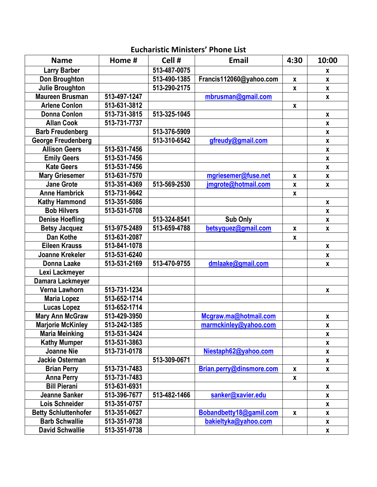## **Name Home # Cell # Email 4:30 10:00 Larry Barber 513-487-0075 x Don Broughton 513-490-1385 Francis112060@yahoo.com x x Julie Broughton 513-290-2175 x x Maureen Brusman** | 513-497-1247 | [mbrusman@gmail.com](mailto:mbrusman@gmail.com) | x **Arlene Conlon 513-631-3812 x Donna Conlon 513-731-3815 513-325-1045 x Allan Cook 513-731-7737 x Barb Freudenberg 513-376-5909 x George Freudenberg 513-310-6542 [gfreudy@gmail.com](mailto:gfreudy@gmail.com) x Allison Geers 513-531-7456 x Emily Geers 513-531-7456 x Kate Geers 513-531-7456 x Mary Griesemer** | 513-631-7570 | **[mgriesemer@fuse.net](mailto:mgriesemer@fuse.net)** | **x** | **x Jane Grote 513-351-4369 513-569-2530 [jmgrote@hotmail.com](mailto:jmgrote@hotmail.com) x x Anne Hambrick 513-731-9642 x Kathy Hammond 513-351-5086 x Bob Hilvers 513-531-5708 x Denise Hoefling 513-324-8541 Sub Only x Betsy Jacquez 513-975-2489 513-659-4788 [betsyquez@gmail.com](mailto:betsyquez@gmail.com) x x Dan Kothe 513-631-2087 x Eileen Krauss 513-841-1078 x Joanne Krekeler 513-531-6240 x Donna Laake 513-531-2169 513-470-9755 [dmlaake@gmail.com](mailto:dmlaake@gmail.com) x Lexi Lackmeyer Damara Lackmeyer Verna Lawhorn 513-731-1234 x Maria Lopez 513-652-1714 Lucas Lopez 513-652-1714 Mary Ann McGraw** | 513-429-3950 | **[Mcgraw.ma@hotmail.com](mailto:Mcgraw.ma@hotmail.com)** | x **Marjorie McKinley 513-242-1385 [marmckinley@yahoo.com](mailto:marmckinley@yahoo.com) x Maria Meinking 513-531-3424 x Kathy Mumper 513-531-3863 x Joanne Nie**  $\begin{array}{|c|c|c|c|c|} \hline 513-731-0178 & \multicolumn{1}{|c|}{\text{Niestaph62@yahoo.com}} & \multicolumn{1}{|c|}{\text{Nistaph62@yahoo.com}} \hline \end{array}$  $\begin{array}{|c|c|c|c|c|} \hline 513-731-0178 & \multicolumn{1}{|c|}{\text{Niestaph62@yahoo.com}} & \multicolumn{1}{|c|}{\text{Nistaph62@yahoo.com}} \hline \end{array}$  $\begin{array}{|c|c|c|c|c|} \hline 513-731-0178 & \multicolumn{1}{|c|}{\text{Niestaph62@yahoo.com}} & \multicolumn{1}{|c|}{\text{Nistaph62@yahoo.com}} \hline \end{array}$ **Jackie Osterman 513-309-0671 x Brian Perry 513-731-7483 [Brian.perry@dinsmore.com](mailto:Brian.perry@dinsmore.com) x x Anna Perry 513-731-7483 x Bill Pierani 513-631-6931 x Jeanne Sanker 513-396-7677 513-482-1466 [sanker@xavier.edu](mailto:sanker@xavier.edu) x Lois Schneider 513-351-0757 x Betty Schluttenhofer** | 513-351-0627 | **[Bobandbetty18@gamil.com](mailto:Bobandbetty18@gamil.com)** | **x** | **x Barb Schwallie 513-351-9738 [bakieltyka@yahoo.com](mailto:bakieltyka@yahoo.com) x David Schwallie 513-351-9738 x**

## **Eucharistic Ministers' Phone List**